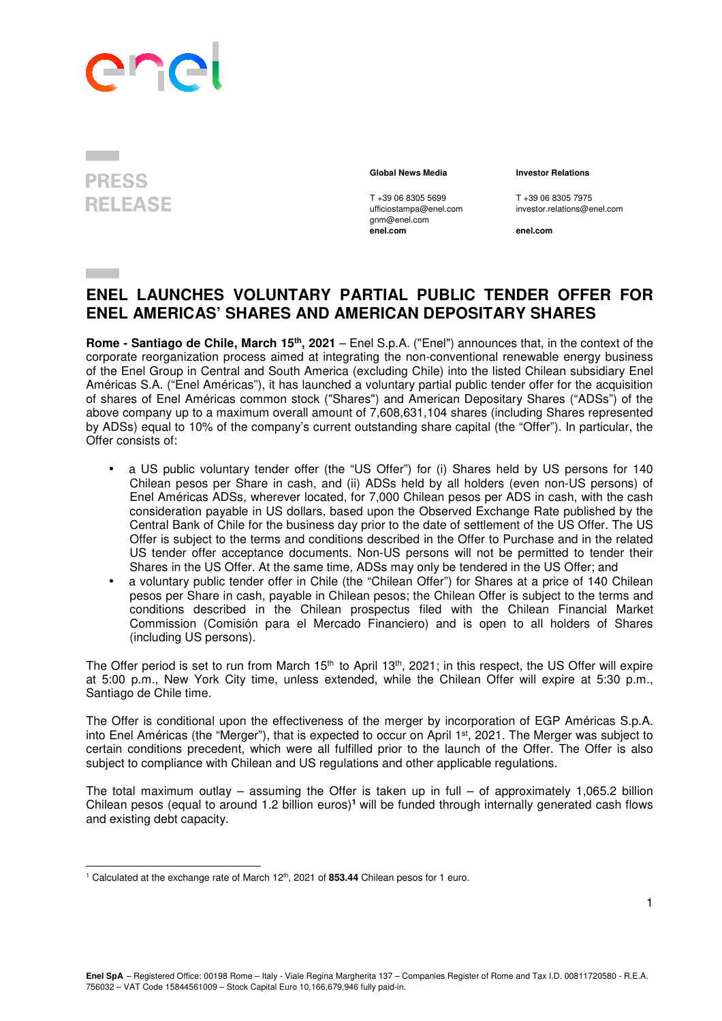# **SIGNATION**

## **PRESS RELEASE**

l

T +39 06 8305 5699 T +39 06 8305 7975<br>
ufficiostampa@enel.com investor.relations@e gnm@enel.com<br>enel.com

### **Global News Media Investor Relations**

investor.relations@enel.com

**enel.com enel.com**

## **ENEL LAUNCHES VOLUNTARY PARTIAL PUBLIC TENDER OFFER FOR ENEL AMERICAS' SHARES AND AMERICAN DEPOSITARY SHARES**

**Rome - Santiago de Chile, March 15th, 2021** – Enel S.p.A. ("Enel") announces that, in the context of the corporate reorganization process aimed at integrating the non-conventional renewable energy business of the Enel Group in Central and South America (excluding Chile) into the listed Chilean subsidiary Enel Américas S.A. ("Enel Américas"), it has launched a voluntary partial public tender offer for the acquisition of shares of Enel Américas common stock ("Shares") and American Depositary Shares ("ADSs") of the above company up to a maximum overall amount of 7,608,631,104 shares (including Shares represented by ADSs) equal to 10% of the company's current outstanding share capital (the "Offer"). In particular, the Offer consists of:

- a US public voluntary tender offer (the "US Offer") for (i) Shares held by US persons for 140 Chilean pesos per Share in cash, and (ii) ADSs held by all holders (even non-US persons) of Enel Américas ADSs, wherever located, for 7,000 Chilean pesos per ADS in cash, with the cash consideration payable in US dollars, based upon the Observed Exchange Rate published by the Central Bank of Chile for the business day prior to the date of settlement of the US Offer. The US Offer is subject to the terms and conditions described in the Offer to Purchase and in the related US tender offer acceptance documents. Non-US persons will not be permitted to tender their Shares in the US Offer. At the same time, ADSs may only be tendered in the US Offer; and
- a voluntary public tender offer in Chile (the "Chilean Offer") for Shares at a price of 140 Chilean pesos per Share in cash, payable in Chilean pesos; the Chilean Offer is subject to the terms and conditions described in the Chilean prospectus filed with the Chilean Financial Market Commission (Comisión para el Mercado Financiero) and is open to all holders of Shares (including US persons).

The Offer period is set to run from March 15<sup>th</sup> to April 13<sup>th</sup>, 2021; in this respect, the US Offer will expire at 5:00 p.m., New York City time, unless extended, while the Chilean Offer will expire at 5:30 p.m., Santiago de Chile time.

The Offer is conditional upon the effectiveness of the merger by incorporation of EGP Américas S.p.A. into Enel Américas (the "Merger"), that is expected to occur on April 1st, 2021. The Merger was subject to certain conditions precedent, which were all fulfilled prior to the launch of the Offer. The Offer is also subject to compliance with Chilean and US regulations and other applicable regulations.

The total maximum outlay – assuming the Offer is taken up in full – of approximately 1,065.2 billion Chilean pesos (equal to around 1.2 billion euros)**<sup>1</sup>** will be funded through internally generated cash flows and existing debt capacity.

<sup>&</sup>lt;sup>1</sup> Calculated at the exchange rate of March 12<sup>th</sup>, 2021 of **853.44** Chilean pesos for 1 euro.